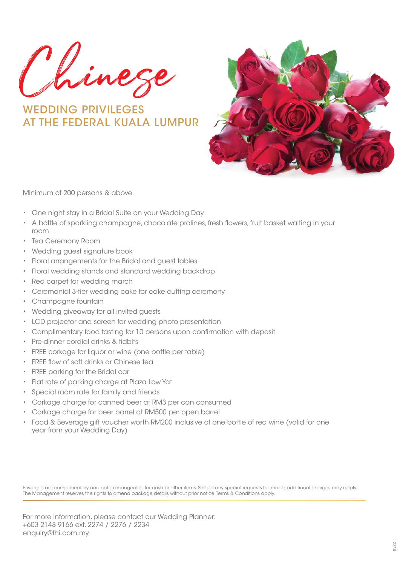Chinese

WEDDING PRIVILEGES AT THE FEDERAL KUALA LUMPUR



Minimum of 200 persons & above

- One night stay in a Bridal Suite on your Wedding Day
- A bottle of sparkling champagne, chocolate pralines, fresh flowers, fruit basket waiting in your room
- Tea Ceremony Room
- Wedding guest signature book
- Floral arrangements for the Bridal and guest tables
- Floral wedding stands and standard wedding backdrop
- Red carpet for wedding march
- Ceremonial 3-tier wedding cake for cake cutting ceremony
- Champagne fountain
- Wedding giveaway for all invited guests
- LCD projector and screen for wedding photo presentation
- Complimentary food tasting for 10 persons upon confirmation with deposit
- Pre-dinner cordial drinks & tidbits
- FREE corkage for liquor or wine (one bottle per table)
- FREE flow of soft drinks or Chinese tea
- FREE parking for the Bridal car
- Flat rate of parking charge at Plaza Low Yat
- Special room rate for family and friends
- Corkage charge for canned beer at RM3 per can consumed
- Corkage charge for beer barrel at RM500 per open barrel
- Food & Beverage gift voucher worth RM200 inclusive of one bottle of red wine (valid for one year from your Wedding Day)

Privileges are complimentary and not exchangeable for cash or other items. Should any special requests be made, additional charges may apply. The Management reserves the rights to amend package details without prior notice. Terms & Conditions apply.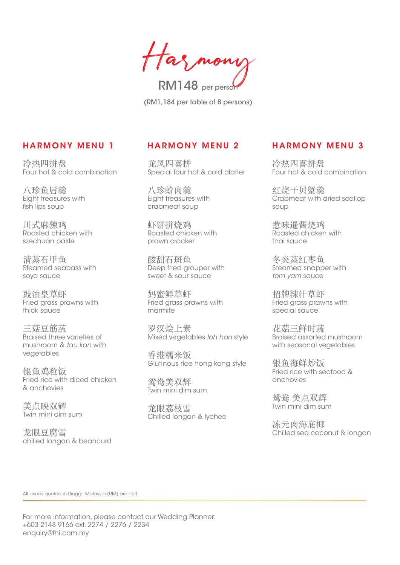Has mono RM148 per person

(RM1,184 per table of 8 persons)

#### **HARMONY MENU 1**

冷热四拼盘 Four hot & cold combination

八珍鱼唇羹 Eight treasures with fish lips soup

川式麻辣鸡 Roasted chicken with szechuan paste

清蒸石甲鱼 Steamed seabass with soya sauce

豉油皇草虾 Fried grass prawns with thick sauce

三菇豆筋蔬 Braised three varieties of mushroom & *tau kan* with vegetables

银鱼鸡粒饭 Fried rice with diced chicken & anchovies

美点映双辉 Twin mini dim sum

龙眼豆腐雪 chilled longan & beancurd

#### **HARMONY MENU 2**

龙凤四喜拼 Special four hot & cold platter

八珍蚧肉羹 Eight treasures with crabmeat soup

虾饼拼烧鸡 Roasted chicken with prawn cracker

酸甜石斑鱼 Deep fried grouper with sweet & sour sauce

妈密鲜草虾 Fried grass prawns with marmite

罗汉烩上素 Mixed vegetables *loh hon* style

香港糯米饭 Glutinous rice hong kong style

鸳鸯美双辉 Twin mini dim sum

龙眼荔枝雪 Chilled longan & lychee

## **HARMONY MENU 3**

冷热四喜拼盘 Four hot & cold combination

红烧干贝蟹羹 Crabmeat with dried scallop soup

惹味暹酱烧鸡 Roasted chicken with thai sauce

冬炎蒸红枣鱼 Steamed snapper with *tom yam* sauce

招牌辣汁草虾 Fried grass prawns with special sauce

花菇三鲜时蔬 Braised assorted mushroom with seasonal vegetables

银鱼海鲜炒饭 Fried rice with seafood & anchovies

鸳鸯 美点双辉 Twin mini dim sum

冻元肉海底椰 Chilled sea coconut & longan

All prices quoted in Ringgit Malaysia (RM) are nett.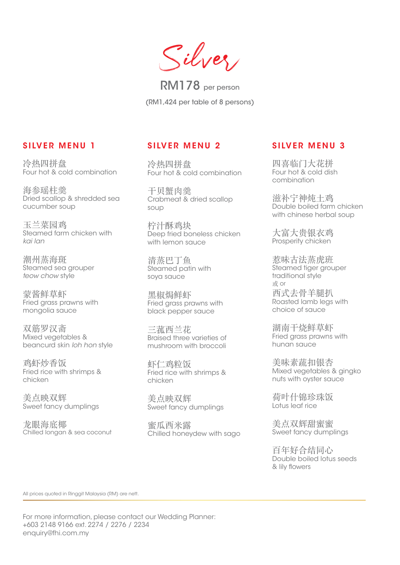Silver

RM178 per person (RM1,424 per table of 8 persons)

#### **SILVER MENU 1**

冷热四拼盘 Four hot & cold combination

海参瑶柱羹 Dried scallop & shredded sea cucumber soup

玉兰菜园鸡 Steamed farm chicken with *kai lan*

潮州蒸海斑 Steamed sea grouper *teow chow* style

蒙酱鲜草虾 Fried grass prawns with mongolia sauce

双箭罗汉斋 Mixed vegetables & beancurd skin *loh hon* style

鸡虾炒香饭 Fried rice with shrimps & chicken

美点映双辉 Sweet fancy dumplings

龙眼海底椰 Chilled longan & sea coconut

## **SILVER MENU 2**

冷热四拼盘 Four hot & cold combination

干贝蟹肉羹 Crabmeat & dried scallop soup

柠汁酥鸡块 Deep fried boneless chicken with lemon sauce

清蒸巴丁鱼 Steamed patin with soya sauce

黑椒焗鲜虾 Fried grass prawns with black pepper sauce

三菰西兰花 Braised three varieties of mushroom with broccoli

虾仁鸡粒饭 Fried rice with shrimps & chicken

美点映双辉 Sweet fancy dumplings

蜜瓜西米露 Chilled honeydew with sago

## **SILVER MENU 3**

四喜临门大花拼 Four hot & cold dish combination

滋补宁神炖土鸡 Double boiled farm chicken with chinese herbal soup

大富大贵银衣鸡 Prosperity chicken

惹味古法蒸虎班 Steamed tiger grouper traditional style 或 or 西式去骨羊腿扒 Roasted lamb legs with choice of sauce

湖南干烧鲜草虾 Fried grass prawns with hunan sauce

美味素蔬扣银杏 Mixed vegetables & gingko nuts with oyster sauce

荷叶什锦珍珠饭 Lotus leaf rice

美点双辉甜蜜蜜 Sweet fancy dumplings

百年好合结同心 Double boiled lotus seeds & lily flowers

All prices quoted in Ringgit Malaysia (RM) are nett.